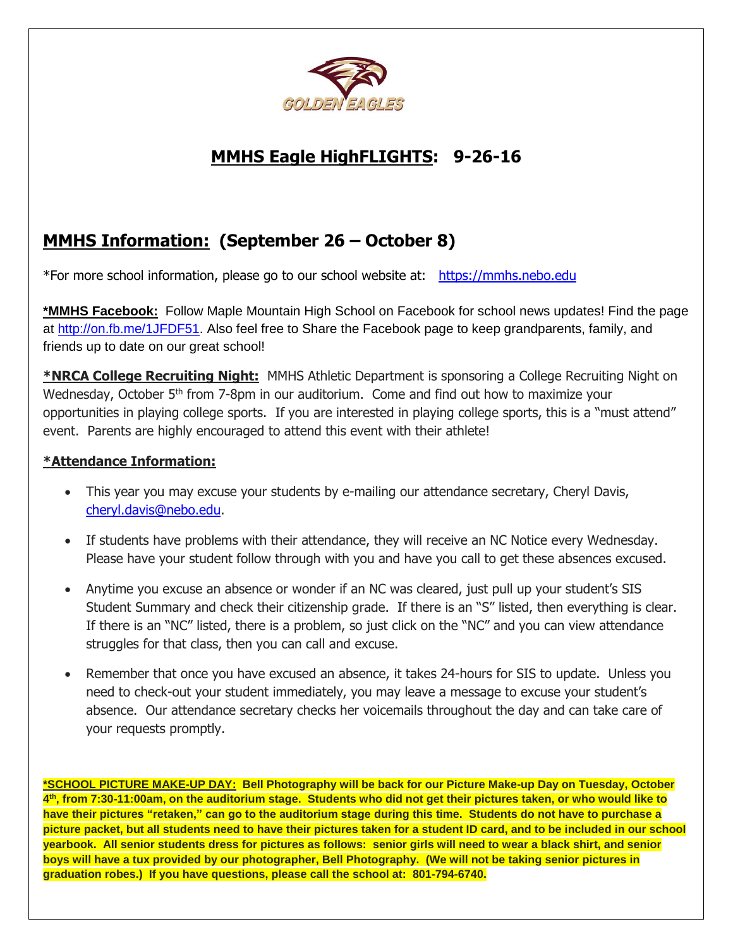

# **MMHS Eagle HighFLIGHTS: 9-26-16**

# **MMHS Information: (September 26 – October 8)**

\*For more school information, please go to our school website at: [https://mmhs.nebo.edu](https://mmhs.nebo.edu/)

**\*MMHS Facebook:** Follow Maple Mountain High School on Facebook for school news updates! Find the page at http://on.fb.me/1JFDF51</u>. Also feel free to Share the Facebook page to keep grandparents, family, and friends up to date on our great school!

**\*NRCA College Recruiting Night:** MMHS Athletic Department is sponsoring a College Recruiting Night on Wednesday, October 5<sup>th</sup> from 7-8pm in our auditorium. Come and find out how to maximize your opportunities in playing college sports. If you are interested in playing college sports, this is a "must attend" event. Parents are highly encouraged to attend this event with their athlete!

# **\*Attendance Information:**

- This year you may excuse your students by e-mailing our attendance secretary, Cheryl Davis, [cheryl.davis@nebo.edu.](mailto:cheryl.davis@nebo.edu)
- If students have problems with their attendance, they will receive an NC Notice every Wednesday. Please have your student follow through with you and have you call to get these absences excused.
- Anytime you excuse an absence or wonder if an NC was cleared, just pull up your student's SIS Student Summary and check their citizenship grade. If there is an "S" listed, then everything is clear. If there is an "NC" listed, there is a problem, so just click on the "NC" and you can view attendance struggles for that class, then you can call and excuse.
- Remember that once you have excused an absence, it takes 24-hours for SIS to update. Unless you need to check-out your student immediately, you may leave a message to excuse your student's absence. Our attendance secretary checks her voicemails throughout the day and can take care of your requests promptly.

**\*SCHOOL PICTURE MAKE-UP DAY: Bell Photography will be back for our Picture Make-up Day on Tuesday, October 4 th, from 7:30-11:00am, on the auditorium stage. Students who did not get their pictures taken, or who would like to have their pictures "retaken," can go to the auditorium stage during this time. Students do not have to purchase a picture packet, but all students need to have their pictures taken for a student ID card, and to be included in our school yearbook. All senior students dress for pictures as follows: senior girls will need to wear a black shirt, and senior boys will have a tux provided by our photographer, Bell Photography. (We will not be taking senior pictures in graduation robes.) If you have questions, please call the school at: 801-794-6740.**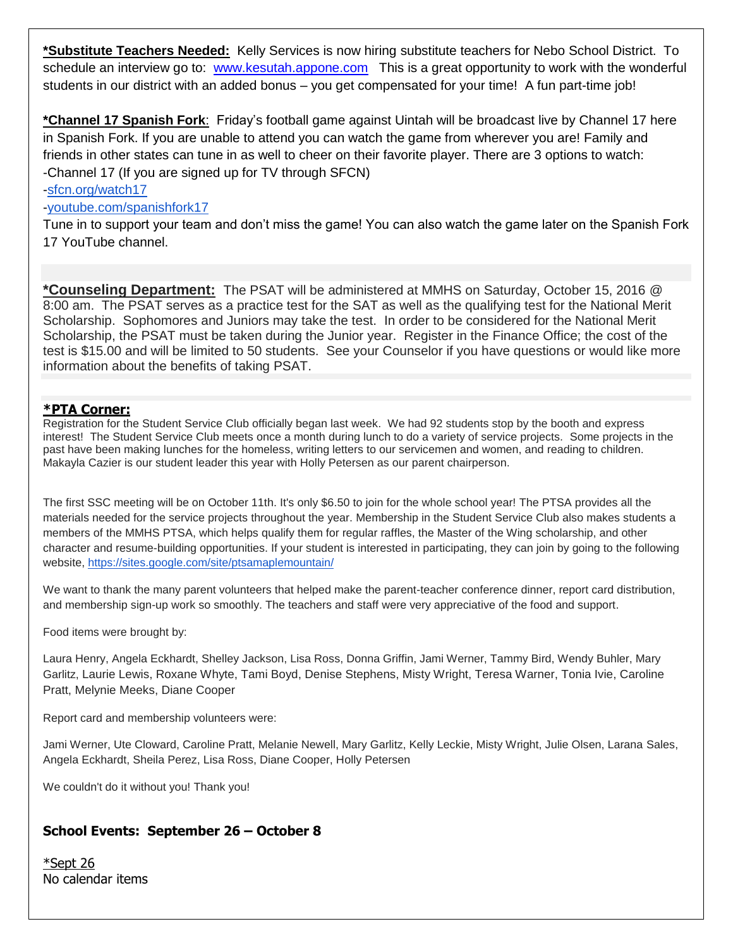**\*Substitute Teachers Needed:** Kelly Services is now hiring substitute teachers for Nebo School District. To schedule an interview go to: [www.kesutah.appone.com](http://www.kesutah.appone.com/) This is a great opportunity to work with the wonderful students in our district with an added bonus – you get compensated for your time! A fun part-time job!

**\*Channel 17 Spanish Fork**: Friday's football game against Uintah will be broadcast live by Channel 17 here in Spanish Fork. If you are unable to attend you can watch the game from wherever you are! Family and friends in other states can tune in as well to cheer on their favorite player. There are 3 options to watch: -Channel 17 (If you are signed up for TV through SFCN)

#### [-sfcn.org/watch17](http://sfcn.org/watch17)

#### [-youtube.com/spanishfork17](http://youtube.com/spanishfork17)

Tune in to support your team and don't miss the game! You can also watch the game later on the Spanish Fork 17 YouTube channel.

**\*Counseling Department:** The PSAT will be administered at MMHS on Saturday, October 15, 2016 @ 8:00 am. The PSAT serves as a practice test for the SAT as well as the qualifying test for the National Merit Scholarship. Sophomores and Juniors may take the test. In order to be considered for the National Merit Scholarship, the PSAT must be taken during the Junior year. Register in the Finance Office; the cost of the test is \$15.00 and will be limited to 50 students. See your Counselor if you have questions or would like more information about the benefits of taking PSAT.

#### **\*PTA Corner:**

Registration for the Student Service Club officially began last week. We had 92 students stop by the booth and express interest! The Student Service Club meets once a month during lunch to do a variety of service projects. Some projects in the past have been making lunches for the homeless, writing letters to our servicemen and women, and reading to children. Makayla Cazier is our student leader this year with Holly Petersen as our parent chairperson.

The first SSC meeting will be on October 11th. It's only \$6.50 to join for the whole school year! The PTSA provides all the materials needed for the service projects throughout the year. Membership in the Student Service Club also makes students a members of the MMHS PTSA, which helps qualify them for regular raffles, the Master of the Wing scholarship, and other character and resume-building opportunities. If your student is interested in participating, they can join by going to the following website, <https://sites.google.com/site/ptsamaplemountain/>

We want to thank the many parent volunteers that helped make the parent-teacher conference dinner, report card distribution, and membership sign-up work so smoothly. The teachers and staff were very appreciative of the food and support.

Food items were brought by:

Laura Henry, Angela Eckhardt, Shelley Jackson, Lisa Ross, Donna Griffin, Jami Werner, Tammy Bird, Wendy Buhler, Mary Garlitz, Laurie Lewis, Roxane Whyte, Tami Boyd, Denise Stephens, Misty Wright, Teresa Warner, Tonia Ivie, Caroline Pratt, Melynie Meeks, Diane Cooper

Report card and membership volunteers were:

Jami Werner, Ute Cloward, Caroline Pratt, Melanie Newell, Mary Garlitz, Kelly Leckie, Misty Wright, Julie Olsen, Larana Sales, Angela Eckhardt, Sheila Perez, Lisa Ross, Diane Cooper, Holly Petersen

We couldn't do it without you! Thank you!

# **School Events: September 26 – October 8**

\*Sept 26 No calendar items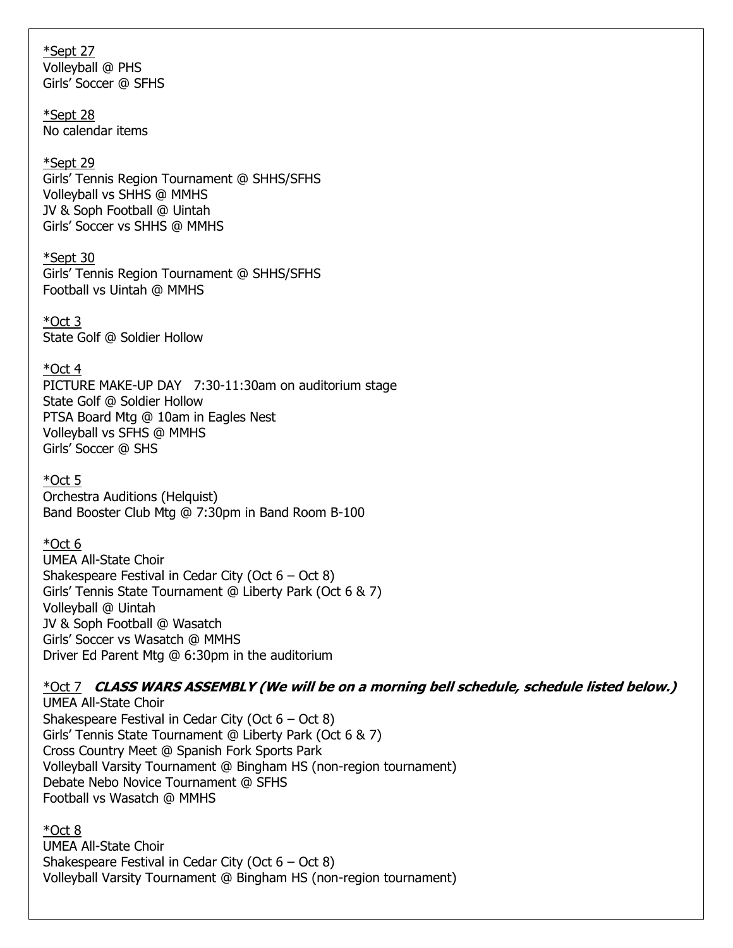\*Sept 27 Volleyball @ PHS Girls' Soccer @ SFHS

\*Sept 28 No calendar items

#### \*Sept 29

Girls' Tennis Region Tournament @ SHHS/SFHS Volleyball vs SHHS @ MMHS JV & Soph Football @ Uintah Girls' Soccer vs SHHS @ MMHS

#### \*Sept 30

Girls' Tennis Region Tournament @ SHHS/SFHS Football vs Uintah @ MMHS

\*Oct 3 State Golf @ Soldier Hollow

### \*Oct 4

PICTURE MAKE-UP DAY 7:30-11:30am on auditorium stage State Golf @ Soldier Hollow PTSA Board Mtg @ 10am in Eagles Nest Volleyball vs SFHS @ MMHS Girls' Soccer @ SHS

## $*$ Oct 5

Orchestra Auditions (Helquist) Band Booster Club Mtg @ 7:30pm in Band Room B-100

# $*$ Oct 6

UMEA All-State Choir Shakespeare Festival in Cedar City (Oct  $6 - Oct 8$ ) Girls' Tennis State Tournament @ Liberty Park (Oct 6 & 7) Volleyball @ Uintah JV & Soph Football @ Wasatch Girls' Soccer vs Wasatch @ MMHS Driver Ed Parent Mtg @ 6:30pm in the auditorium

\*Oct 7 **CLASS WARS ASSEMBLY (We will be on a morning bell schedule, schedule listed below.)** UMEA All-State Choir

Shakespeare Festival in Cedar City (Oct  $6 - Oct 8$ ) Girls' Tennis State Tournament @ Liberty Park (Oct 6 & 7) Cross Country Meet @ Spanish Fork Sports Park Volleyball Varsity Tournament @ Bingham HS (non-region tournament) Debate Nebo Novice Tournament @ SFHS Football vs Wasatch @ MMHS

\*Oct 8 UMEA All-State Choir Shakespeare Festival in Cedar City (Oct  $6 - Oct 8$ ) Volleyball Varsity Tournament @ Bingham HS (non-region tournament)